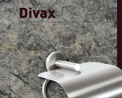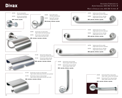## Made in Stainless steel AISI 304 14 mm. Ø

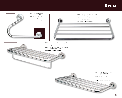## **Divax**